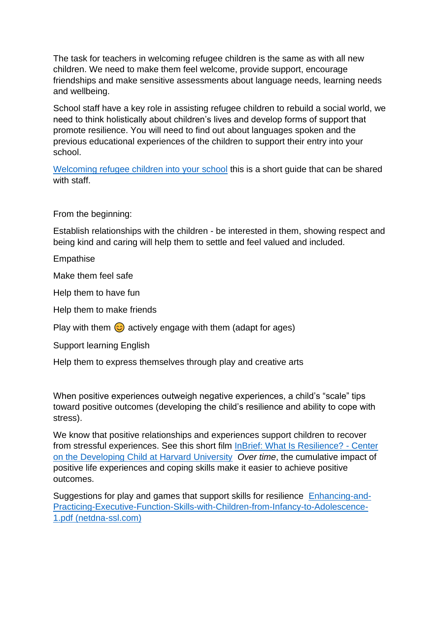The task for teachers in welcoming refugee children is the same as with all new children. We need to make them feel welcome, provide support, encourage friendships and make sensitive assessments about language needs, learning needs and wellbeing.

School staff have a key role in assisting refugee children to rebuild a social world, we need to think holistically about children's lives and develop forms of support that promote resilience. You will need to find out about languages spoken and the previous educational experiences of the children to support their entry into your school.

[Welcoming refugee children into your school](https://neu.org.uk/media/1936/view) this is a short guide that can be shared with staff.

From the beginning:

Establish relationships with the children - be interested in them, showing respect and being kind and caring will help them to settle and feel valued and included.

Empathise

Make them feel safe

Help them to have fun

Help them to make friends

Play with them  $\odot$  actively engage with them (adapt for ages)

Support learning English

Help them to express themselves through play and creative arts

When positive experiences outweigh negative experiences, a child's "scale" tips toward positive outcomes (developing the child's resilience and ability to cope with stress).

We know that positive relationships and experiences support children to recover from stressful experiences. See this short film [InBrief: What Is Resilience? -](https://developingchild.harvard.edu/resources/inbrief-what-is-resilience/) Center [on the Developing Child at Harvard University](https://developingchild.harvard.edu/resources/inbrief-what-is-resilience/) *Over time*, the cumulative impact of positive life experiences and coping skills make it easier to achieve positive outcomes.

Suggestions for play and games that support skills for resilience [Enhancing-and-](https://46y5eh11fhgw3ve3ytpwxt9r-wpengine.netdna-ssl.com/wp-content/uploads/2015/05/Enhancing-and-Practicing-Executive-Function-Skills-with-Children-from-Infancy-to-Adolescence-1.pdf)[Practicing-Executive-Function-Skills-with-Children-from-Infancy-to-Adolescence-](https://46y5eh11fhgw3ve3ytpwxt9r-wpengine.netdna-ssl.com/wp-content/uploads/2015/05/Enhancing-and-Practicing-Executive-Function-Skills-with-Children-from-Infancy-to-Adolescence-1.pdf)[1.pdf \(netdna-ssl.com\)](https://46y5eh11fhgw3ve3ytpwxt9r-wpengine.netdna-ssl.com/wp-content/uploads/2015/05/Enhancing-and-Practicing-Executive-Function-Skills-with-Children-from-Infancy-to-Adolescence-1.pdf)